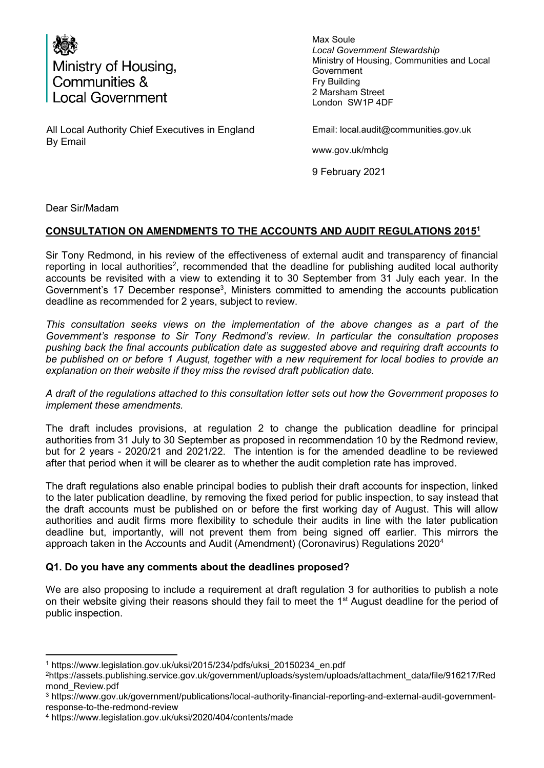

All Local Authority Chief Executives in England By Email

Max Soule *Local Government Stewardship*  Ministry of Housing, Communities and Local Government Fry Building 2 Marsham Street London SW1P 4DF

Email: local.audit@communities.gov.uk

www.gov.uk/mhclg

9 February 2021

Dear Sir/Madam

## **CONSULTATION ON AMENDMENTS TO THE ACCOUNTS AND AUDIT REGULATIONS 2015<sup>1</sup>**

Sir Tony Redmond, in his review of the effectiveness of external audit and transparency of financial reporting in local authorities<sup>2</sup>, recommended that the deadline for publishing audited local authority accounts be revisited with a view to extending it to 30 September from 31 July each year. In the Government's 17 December response<sup>3</sup>, Ministers committed to amending the accounts publication deadline as recommended for 2 years, subject to review.

*This consultation seeks views on the implementation of the above changes as a part of the Government's response to Sir Tony Redmond's review. In particular the consultation proposes pushing back the final accounts publication date as suggested above and requiring draft accounts to be published on or before 1 August, together with a new requirement for local bodies to provide an explanation on their website if they miss the revised draft publication date.* 

*A draft of the regulations attached to this consultation letter sets out how the Government proposes to implement these amendments.* 

The draft includes provisions, at regulation 2 to change the publication deadline for principal authorities from 31 July to 30 September as proposed in recommendation 10 by the Redmond review, but for 2 years - 2020/21 and 2021/22. The intention is for the amended deadline to be reviewed after that period when it will be clearer as to whether the audit completion rate has improved.

The draft regulations also enable principal bodies to publish their draft accounts for inspection, linked to the later publication deadline, by removing the fixed period for public inspection, to say instead that the draft accounts must be published on or before the first working day of August. This will allow authorities and audit firms more flexibility to schedule their audits in line with the later publication deadline but, importantly, will not prevent them from being signed off earlier. This mirrors the approach taken in the Accounts and Audit (Amendment) (Coronavirus) Regulations 2020<sup>4</sup>

## **Q1. Do you have any comments about the deadlines proposed?**

We are also proposing to include a requirement at draft regulation 3 for authorities to publish a note on their website giving their reasons should they fail to meet the  $1<sup>st</sup>$  August deadline for the period of public inspection.

 $\overline{a}$ 1 https://www.legislation.gov.uk/uksi/2015/234/pdfs/uksi\_20150234\_en.pdf

<sup>2</sup>https://assets.publishing.service.gov.uk/government/uploads/system/uploads/attachment\_data/file/916217/Red mond\_Review.pdf

<sup>3</sup> https://www.gov.uk/government/publications/local-authority-financial-reporting-and-external-audit-governmentresponse-to-the-redmond-review

<sup>4</sup> https://www.legislation.gov.uk/uksi/2020/404/contents/made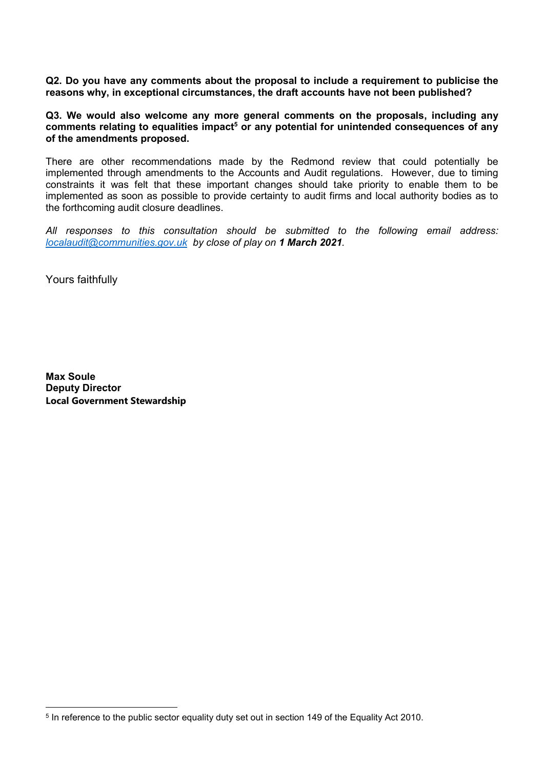**Q2. Do you have any comments about the proposal to include a requirement to publicise the reasons why, in exceptional circumstances, the draft accounts have not been published?** 

**Q3. We would also welcome any more general comments on the proposals, including any**  comments relating to equalities impact<sup>5</sup> or any potential for unintended consequences of any **of the amendments proposed.** 

There are other recommendations made by the Redmond review that could potentially be implemented through amendments to the Accounts and Audit regulations. However, due to timing constraints it was felt that these important changes should take priority to enable them to be implemented as soon as possible to provide certainty to audit firms and local authority bodies as to the forthcoming audit closure deadlines.

*All responses to this consultation should be submitted to the following email address: [localaudit@communities.gov.uk](mailto:localaudit@communities.gov.uk) by close of play on 1 March 2021.* 

Yours faithfully

**Max Soule Deputy Director Local Government Stewardship**

 $\overline{a}$  $^{\rm 5}$  In reference to the public sector equality duty set out in section 149 of the Equality Act 2010.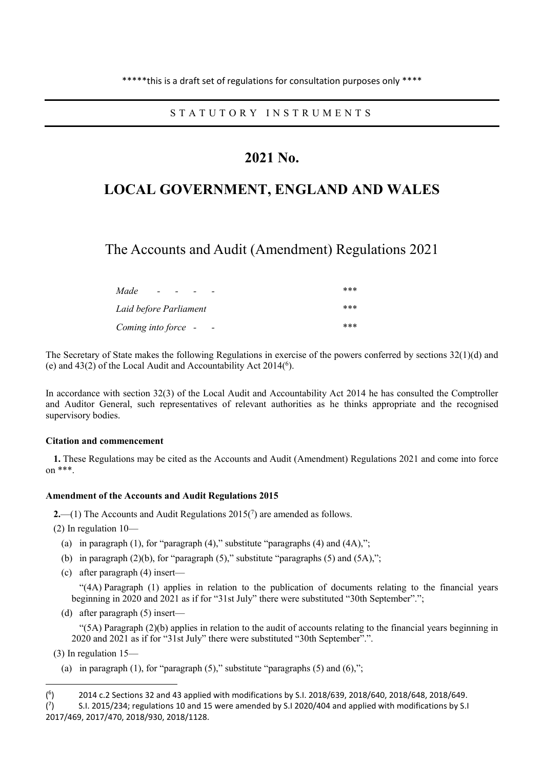S T A T U T O R Y I N S T R U M E N T S

## **2021 No.**

# **LOCAL GOVERNMENT, ENGLAND AND WALES**

The Accounts and Audit (Amendment) Regulations 2021

| Made<br>$\overline{\phantom{0}}$<br>-           | *** |
|-------------------------------------------------|-----|
| Laid before Parliament                          | *** |
| Coming into force -<br>$\overline{\phantom{a}}$ | *** |

The Secretary of State makes the following Regulations in exercise of the powers conferred by sections 32(1)(d) and (e) and  $43(2)$  of the Local Audit and Accountability Act  $2014(6)$ .

In accordance with section 32(3) of the Local Audit and Accountability Act 2014 he has consulted the Comptroller and Auditor General, such representatives of relevant authorities as he thinks appropriate and the recognised supervisory bodies.

#### **Citation and commencement**

**1.** These Regulations may be cited as the Accounts and Audit (Amendment) Regulations 2021 and come into force on \*\*\*.

#### **Amendment of the Accounts and Audit Regulations 2015**

**2.**  $\left(\frac{1}{1}\right)$  The Accounts and Audit Regulations 2015( $\frac{7}{1}$ ) are amended as follows.

(2) In regulation 10—

- (a) in paragraph  $(1)$ , for "paragraph  $(4)$ ," substitute "paragraphs  $(4)$  and  $(4A)$ ,";
- (b) in paragraph  $(2)(b)$ , for "paragraph  $(5)$ ," substitute "paragraphs  $(5)$  and  $(5A)$ ,";
- (c) after paragraph (4) insert—

"(4A) Paragraph (1) applies in relation to the publication of documents relating to the financial years beginning in 2020 and 2021 as if for "31st July" there were substituted "30th September".";

(d) after paragraph (5) insert—

"(5A) Paragraph (2)(b) applies in relation to the audit of accounts relating to the financial years beginning in 2020 and 2021 as if for "31st July" there were substituted "30th September".".

(3) In regulation 15—

 $\overline{a}$ 

(a) in paragraph  $(1)$ , for "paragraph  $(5)$ ," substitute "paragraphs  $(5)$  and  $(6)$ ,";

<sup>(</sup> 6 ) 2014 c.2 Sections 32 and 43 applied with modifications by S.I. 2018/639, 2018/640, 2018/648, 2018/649.

<sup>(</sup> 7 ) S.I. 2015/234; regulations 10 and 15 were amended by S.I 2020/404 and applied with modifications by S.I 2017/469, 2017/470, 2018/930, 2018/1128.